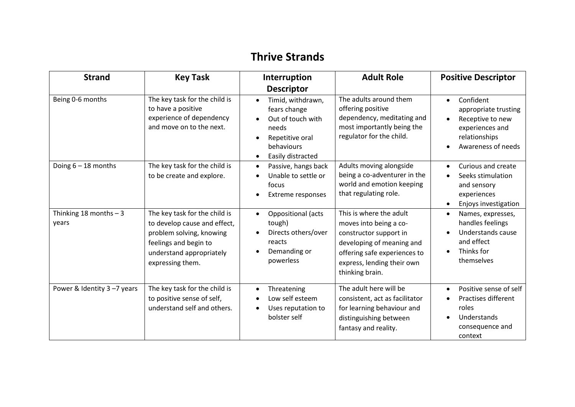## **Thrive Strands**

| <b>Strand</b>                    | <b>Key Task</b>                                                                                                                                                    | Interruption                                                                                                                                    | <b>Adult Role</b>                                                                                                                                                                         | <b>Positive Descriptor</b>                                                                                                                             |
|----------------------------------|--------------------------------------------------------------------------------------------------------------------------------------------------------------------|-------------------------------------------------------------------------------------------------------------------------------------------------|-------------------------------------------------------------------------------------------------------------------------------------------------------------------------------------------|--------------------------------------------------------------------------------------------------------------------------------------------------------|
|                                  |                                                                                                                                                                    | <b>Descriptor</b>                                                                                                                               |                                                                                                                                                                                           |                                                                                                                                                        |
| Being 0-6 months                 | The key task for the child is<br>to have a positive<br>experience of dependency<br>and move on to the next.                                                        | Timid, withdrawn,<br>$\bullet$<br>fears change<br>Out of touch with<br>needs<br>Repetitive oral<br>behaviours<br>Easily distracted<br>$\bullet$ | The adults around them<br>offering positive<br>dependency, meditating and<br>most importantly being the<br>regulator for the child.                                                       | Confident<br>$\bullet$<br>appropriate trusting<br>Receptive to new<br>$\bullet$<br>experiences and<br>relationships<br>Awareness of needs<br>$\bullet$ |
| Doing $6 - 18$ months            | The key task for the child is<br>to be create and explore.                                                                                                         | Passive, hangs back<br>$\bullet$<br>Unable to settle or<br>focus<br>Extreme responses                                                           | Adults moving alongside<br>being a co-adventurer in the<br>world and emotion keeping<br>that regulating role.                                                                             | Curious and create<br>$\bullet$<br>Seeks stimulation<br>$\bullet$<br>and sensory<br>experiences<br>Enjoys investigation<br>$\bullet$                   |
| Thinking 18 months $-3$<br>years | The key task for the child is<br>to develop cause and effect,<br>problem solving, knowing<br>feelings and begin to<br>understand appropriately<br>expressing them. | Oppositional (acts<br>$\bullet$<br>tough)<br>Directs others/over<br>reacts<br>Demanding or<br>powerless                                         | This is where the adult<br>moves into being a co-<br>constructor support in<br>developing of meaning and<br>offering safe experiences to<br>express, lending their own<br>thinking brain. | Names, expresses,<br>$\bullet$<br>handles feelings<br>Understands cause<br>$\bullet$<br>and effect<br>Thinks for<br>$\bullet$<br>themselves            |
| Power & Identity 3-7 years       | The key task for the child is<br>to positive sense of self,<br>understand self and others.                                                                         | Threatening<br>$\bullet$<br>Low self esteem<br>Uses reputation to<br>bolster self                                                               | The adult here will be<br>consistent, act as facilitator<br>for learning behaviour and<br>distinguishing between<br>fantasy and reality.                                                  | Positive sense of self<br>$\bullet$<br>Practises different<br>$\bullet$<br>roles<br>Understands<br>$\bullet$<br>consequence and<br>context             |